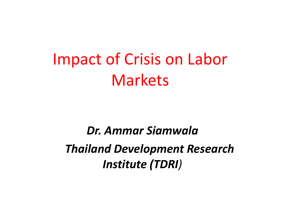# Impact of Crisis on Labor Markets

### *Dr. Ammar Siamwala Thailand Development Research Institute (TDRI)*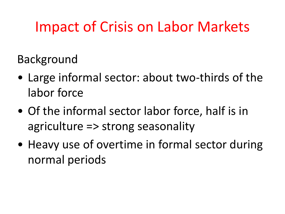## Impact of Crisis on Labor Markets

Background

- Large informal sector: about two-thirds of the labor force
- Of the informal sector labor force, half is in agriculture => strong seasonality
- Heavy use of overtime in formal sector during normal periods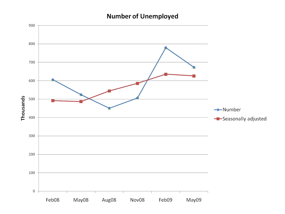#### **Number of Unemployed**

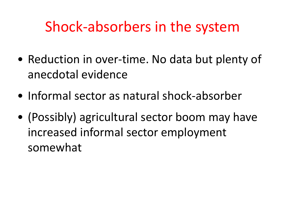## Shock-absorbers in the system

- Reduction in over-time. No data but plenty of anecdotal evidence
- Informal sector as natural shock-absorber
- (Possibly) agricultural sector boom may have increased informal sector employment somewhat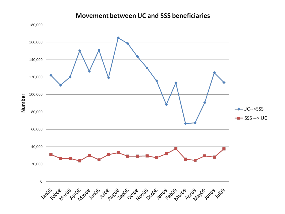#### **Movement between UC and SSS beneficiaries**

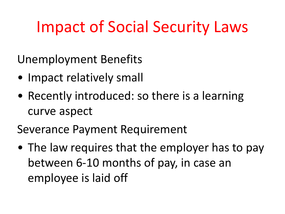## Impact of Social Security Laws

Unemployment Benefits

- Impact relatively small
- Recently introduced: so there is a learning curve aspect

Severance Payment Requirement

• The law requires that the employer has to pay between 6-10 months of pay, in case an employee is laid off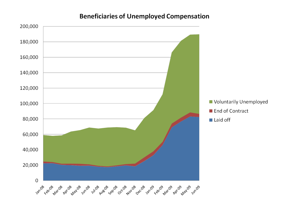#### **Beneficiaries of Unemployed Compensation**

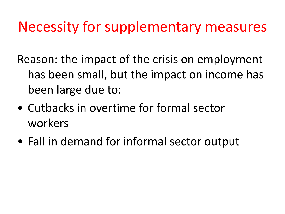### Necessity for supplementary measures

Reason: the impact of the crisis on employment has been small, but the impact on income has been large due to:

- Cutbacks in overtime for formal sector workers
- Fall in demand for informal sector output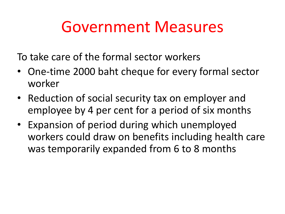## Government Measures

To take care of the formal sector workers

- One-time 2000 baht cheque for every formal sector worker
- Reduction of social security tax on employer and employee by 4 per cent for a period of six months
- Expansion of period during which unemployed workers could draw on benefits including health care was temporarily expanded from 6 to 8 months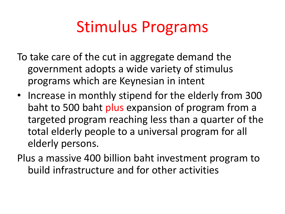## Stimulus Programs

- To take care of the cut in aggregate demand the government adopts a wide variety of stimulus programs which are Keynesian in intent
- Increase in monthly stipend for the elderly from 300 baht to 500 baht plus expansion of program from a targeted program reaching less than a quarter of the total elderly people to a universal program for all elderly persons.
- Plus a massive 400 billion baht investment program to build infrastructure and for other activities